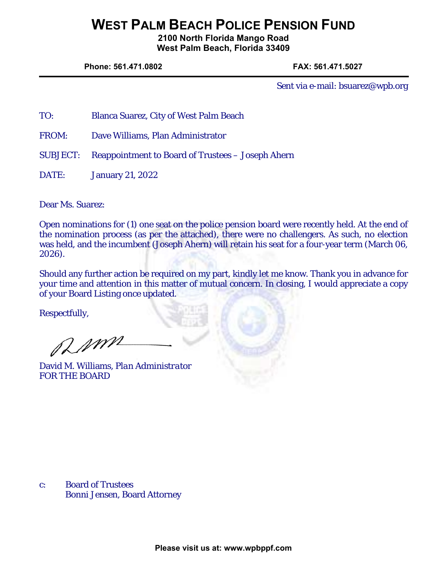## **WEST PALM BEACH POLICE PENSION FUND**

**2100 North Florida Mango Road West Palm Beach, Florida 33409** 

**Phone: 561.471.0802 FAX: 561.471.5027** 

Sent via e-mail: bsuarez@wpb.org

- TO: Blanca Suarez, City of West Palm Beach
- FROM: Dave Williams, Plan Administrator
- SUBJECT: Reappointment to Board of Trustees Joseph Ahern
- DATE: January 21, 2022

Dear Ms. Suarez:

Open nominations for (1) one seat on the police pension board were recently held. At the end of the nomination process (as per the attached), there were no challengers. As such, no election was held, and the incumbent (Joseph Ahern) will retain his seat for a four-year term (March 06, 2026).

Should any further action be required on my part, kindly let me know. Thank you in advance for your time and attention in this matter of mutual concern. In closing, I would appreciate a copy of your Board Listing once updated.

Respectfully,

amm

David M. Williams, *Plan Administrator* FOR THE BOARD

c: Board of Trustees Bonni Jensen, Board Attorney